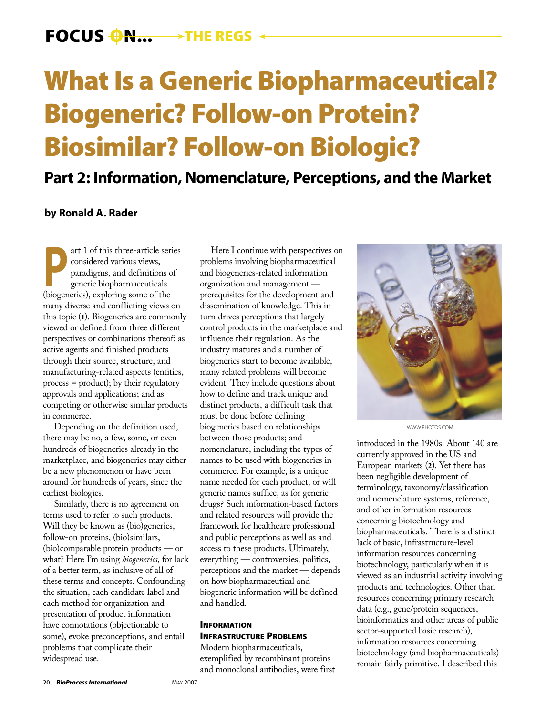# What Is a Generic Biopharmaceutical? Biogeneric? Follow-on Protein? Biosimilar? Follow-on Biologic?

# **Part 2: Information, Nomenclature, Perceptions, and the Market**

# **by Ronald A. Rader**

art 1 of this three-article series<br>
considered various views,<br>
paradigms, and definitions of<br>
generic biopharmaceuticals<br>
(biogenerics) exploring some of the considered various views, paradigms, and definitions of generic biopharmaceuticals (biogenerics), exploring some of the many diverse and conflicting views on this topic (**1**). Biogenerics are commonly viewed or defined from three different perspectives or combinations thereof: as active agents and finished products through their source, structure, and manufacturing-related aspects (entities, process = product); by their regulatory approvals and applications; and as competing or otherwise similar products in commerce.

Depending on the definition used, there may be no, a few, some, or even hundreds of biogenerics already in the marketplace, and biogenerics may either be a new phenomenon or have been around for hundreds of years, since the earliest biologics.

Similarly, there is no agreement on terms used to refer to such products. Will they be known as (bio)generics, follow-on proteins, (bio)similars, (bio)comparable protein products — or what? Here I'm using *biogenerics*, for lack of a better term, as inclusive of all of these terms and concepts. Confounding the situation, each candidate label and each method for organization and presentation of product information have connotations (objectionable to some), evoke preconceptions, and entail problems that complicate their widespread use.

Here I continue with perspectives on problems involving biopharmaceutical and biogenerics-related information organization and management prerequisites for the development and dissemination of knowledge. This in turn drives perceptions that largely control products in the marketplace and influence their regulation. As the industry matures and a number of biogenerics start to become available, many related problems will become evident. They include questions about how to define and track unique and distinct products, a difficult task that must be done before defining biogenerics based on relationships between those products; and nomenclature, including the types of names to be used with biogenerics in commerce. For example, is a unique name needed for each product, or will generic names suffice, as for generic drugs? Such information-based factors and related resources will provide the framework for healthcare professional and public perceptions as well as and access to these products. Ultimately, everything — controversies, politics, perceptions and the market — depends on how biopharmaceutical and biogeneric information will be defined and handled.

### **INFORMATION** INFRASTRUCTURE PROBLEMS

Modern biopharmaceuticals, exemplified by recombinant proteins and monoclonal antibodies, were first



WWW.PHOTOS.COM

introduced in the 1980s. About 140 are currently approved in the US and European markets (**2**). Yet there has been negligible development of terminology, taxonomy/classification and nomenclature systems, reference, and other information resources concerning biotechnology and biopharmaceuticals. There is a distinct lack of basic, infrastructure-level information resources concerning biotechnology, particularly when it is viewed as an industrial activity involving products and technologies. Other than resources concerning primary research data (e.g., gene/protein sequences, bioinformatics and other areas of public sector-supported basic research), information resources concerning biotechnology (and biopharmaceuticals) remain fairly primitive. I described this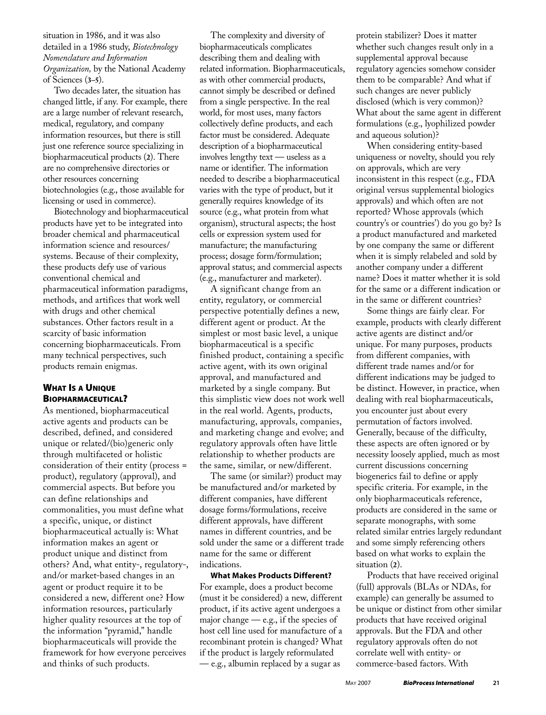situation in 1986, and it was also detailed in a 1986 study, *Biotechnology Nomenclature and Information Organization,* by the National Academy of Sciences (**3–5**).

Two decades later, the situation has changed little, if any. For example, there are a large number of relevant research, medical, regulatory, and company information resources, but there is still just one reference source specializing in biopharmaceutical products (**2**). There are no comprehensive directories or other resources concerning biotechnologies (e.g., those available for licensing or used in commerce).

Biotechnology and biopharmaceutical products have yet to be integrated into broader chemical and pharmaceutical information science and resources/ systems. Because of their complexity, these products defy use of various conventional chemical and pharmaceutical information paradigms, methods, and artifices that work well with drugs and other chemical substances. Other factors result in a scarcity of basic information concerning biopharmaceuticals. From many technical perspectives, such products remain enigmas.

# WHAT IS A UNIQUE BIOPHARMACEUTICAL?

As mentioned, biopharmaceutical active agents and products can be described, defined, and considered unique or related/(bio)generic only through multifaceted or holistic consideration of their entity (process = product), regulatory (approval), and commercial aspects. But before you can define relationships and commonalities, you must define what a specific, unique, or distinct biopharmaceutical actually is: What information makes an agent or product unique and distinct from others? And, what entity-, regulatory-, and/or market-based changes in an agent or product require it to be considered a new, different one? How information resources, particularly higher quality resources at the top of the information "pyramid," handle biopharmaceuticals will provide the framework for how everyone perceives and thinks of such products.

The complexity and diversity of biopharmaceuticals complicates describing them and dealing with related information. Biopharmaceuticals, as with other commercial products, cannot simply be described or defined from a single perspective. In the real world, for most uses, many factors collectively define products, and each factor must be considered. Adequate description of a biopharmaceutical involves lengthy text — useless as a name or identifier. The information needed to describe a biopharmaceutical varies with the type of product, but it generally requires knowledge of its source (e.g., what protein from what organism), structural aspects; the host cells or expression system used for manufacture; the manufacturing process; dosage form/formulation; approval status; and commercial aspects (e.g., manufacturer and marketer).

A significant change from an entity, regulatory, or commercial perspective potentially defines a new, different agent or product. At the simplest or most basic level, a unique biopharmaceutical is a specific finished product, containing a specific active agent, with its own original approval, and manufactured and marketed by a single company. But this simplistic view does not work well in the real world. Agents, products, manufacturing, approvals, companies, and marketing change and evolve; and regulatory approvals often have little relationship to whether products are the same, similar, or new/different.

The same (or similar?) product may be manufactured and/or marketed by different companies, have different dosage forms/formulations, receive different approvals, have different names in different countries, and be sold under the same or a different trade name for the same or different indications.

**What Makes Products Different?**  For example, does a product become (must it be considered) a new, different product, if its active agent undergoes a major change — e.g., if the species of host cell line used for manufacture of a recombinant protein is changed? What if the product is largely reformulated — e.g., albumin replaced by a sugar as

protein stabilizer? Does it matter whether such changes result only in a supplemental approval because regulatory agencies somehow consider them to be comparable? And what if such changes are never publicly disclosed (which is very common)? What about the same agent in different formulations (e.g., lyophilized powder and aqueous solution)?

When considering entity-based uniqueness or novelty, should you rely on approvals, which are very inconsistent in this respect (e.g., FDA original versus supplemental biologics approvals) and which often are not reported? Whose approvals (which country's or countries') do you go by? Is a product manufactured and marketed by one company the same or different when it is simply relabeled and sold by another company under a different name? Does it matter whether it is sold for the same or a different indication or in the same or different countries?

Some things are fairly clear. For example, products with clearly different active agents are distinct and/or unique. For many purposes, products from different companies, with different trade names and/or for different indications may be judged to be distinct. However, in practice, when dealing with real biopharmaceuticals, you encounter just about every permutation of factors involved. Generally, because of the difficulty, these aspects are often ignored or by necessity loosely applied, much as most current discussions concerning biogenerics fail to define or apply specific criteria. For example, in the only biopharmaceuticals reference, products are considered in the same or separate monographs, with some related similar entries largely redundant and some simply referencing others based on what works to explain the situation (**2**).

Products that have received original (full) approvals (BLAs or NDAs, for example) can generally be assumed to be unique or distinct from other similar products that have received original approvals. But the FDA and other regulatory approvals often do not correlate well with entity- or commerce-based factors. With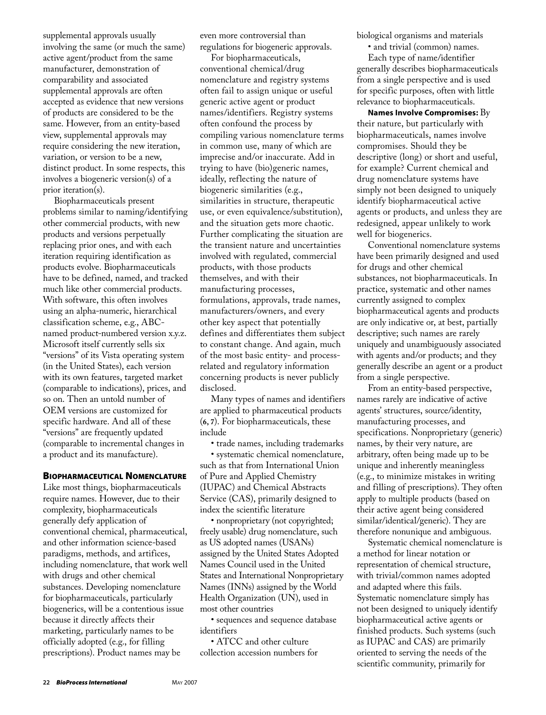supplemental approvals usually involving the same (or much the same) active agent/product from the same manufacturer, demonstration of comparability and associated supplemental approvals are often accepted as evidence that new versions of products are considered to be the same. However, from an entity-based view, supplemental approvals may require considering the new iteration, variation, or version to be a new, distinct product. In some respects, this involves a biogeneric version(s) of a prior iteration(s).

Biopharmaceuticals present problems similar to naming/identifying other commercial products, with new products and versions perpetually replacing prior ones, and with each iteration requiring identification as products evolve. Biopharmaceuticals have to be defined, named, and tracked much like other commercial products. With software, this often involves using an alpha-numeric, hierarchical classification scheme, e.g., ABCnamed product-numbered version x.y.z. Microsoft itself currently sells six "versions" of its Vista operating system (in the United States), each version with its own features, targeted market (comparable to indications), prices, and so on. Then an untold number of OEM versions are customized for specific hardware. And all of these "versions" are frequently updated (comparable to incremental changes in a product and its manufacture).

#### BIOPHARMACEUTICAL NOMENCLATURE

Like most things, biopharmaceuticals require names. However, due to their complexity, biopharmaceuticals generally defy application of conventional chemical, pharmaceutical, and other information science-based paradigms, methods, and artifices, including nomenclature, that work well with drugs and other chemical substances. Developing nomenclature for biopharmaceuticals, particularly biogenerics, will be a contentious issue because it directly affects their marketing, particularly names to be officially adopted (e.g., for filling prescriptions). Product names may be

even more controversial than regulations for biogeneric approvals.

For biopharmaceuticals, conventional chemical/drug nomenclature and registry systems often fail to assign unique or useful generic active agent or product names/identifiers. Registry systems often confound the process by compiling various nomenclature terms in common use, many of which are imprecise and/or inaccurate. Add in trying to have (bio)generic names, ideally, reflecting the nature of biogeneric similarities (e.g., similarities in structure, therapeutic use, or even equivalence/substitution), and the situation gets more chaotic. Further complicating the situation are the transient nature and uncertainties involved with regulated, commercial products, with those products themselves, and with their manufacturing processes, formulations, approvals, trade names, manufacturers/owners, and every other key aspect that potentially defines and differentiates them subject to constant change. And again, much of the most basic entity- and processrelated and regulatory information concerning products is never publicly disclosed.

Many types of names and identifiers are applied to pharmaceutical products (**6, 7**). For biopharmaceuticals, these include

• trade names, including trademarks

• systematic chemical nomenclature, such as that from International Union of Pure and Applied Chemistry (IUPAC) and Chemical Abstracts Service (CAS), primarily designed to index the scientific literature

• nonproprietary (not copyrighted; freely usable) drug nomenclature, such as US adopted names (USANs) assigned by the United States Adopted Names Council used in the United States and International Nonproprietary Names (INNs) assigned by the World Health Organization (UN), used in most other countries

• sequences and sequence database identifiers

• ATCC and other culture collection accession numbers for biological organisms and materials

• and trivial (common) names.

Each type of name/identifier generally describes biopharmaceuticals from a single perspective and is used for specific purposes, often with little relevance to biopharmaceuticals.

**Names Involve Compromises:** By their nature, but particularly with biopharmaceuticals, names involve compromises. Should they be descriptive (long) or short and useful, for example? Current chemical and drug nomenclature systems have simply not been designed to uniquely identify biopharmaceutical active agents or products, and unless they are redesigned, appear unlikely to work well for biogenerics.

Conventional nomenclature systems have been primarily designed and used for drugs and other chemical substances, not biopharmaceuticals. In practice, systematic and other names currently assigned to complex biopharmaceutical agents and products are only indicative or, at best, partially descriptive; such names are rarely uniquely and unambiguously associated with agents and/or products; and they generally describe an agent or a product from a single perspective.

From an entity-based perspective, names rarely are indicative of active agents' structures, source/identity, manufacturing processes, and specifications. Nonproprietary (generic) names, by their very nature, are arbitrary, often being made up to be unique and inherently meaningless (e.g., to minimize mistakes in writing and filling of prescriptions). They often apply to multiple products (based on their active agent being considered similar/identical/generic). They are therefore nonunique and ambiguous.

Systematic chemical nomenclature is a method for linear notation or representation of chemical structure, with trivial/common names adopted and adapted where this fails. Systematic nomenclature simply has not been designed to uniquely identify biopharmaceutical active agents or finished products. Such systems (such as IUPAC and CAS) are primarily oriented to serving the needs of the scientific community, primarily for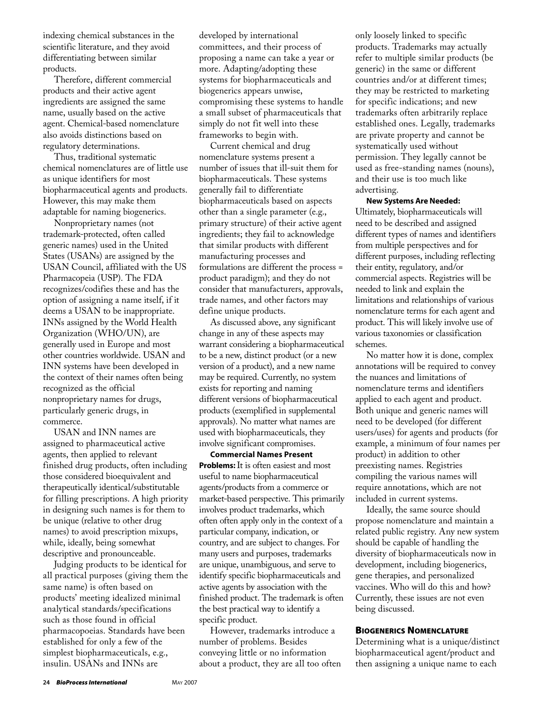indexing chemical substances in the scientific literature, and they avoid differentiating between similar products.

Therefore, different commercial products and their active agent ingredients are assigned the same name, usually based on the active agent. Chemical-based nomenclature also avoids distinctions based on regulatory determinations.

Thus, traditional systematic chemical nomenclatures are of little use as unique identifiers for most biopharmaceutical agents and products. However, this may make them adaptable for naming biogenerics.

Nonproprietary names (not trademark-protected, often called generic names) used in the United States (USANs) are assigned by the USAN Council, affiliated with the US Pharmacopeia (USP). The FDA recognizes/codifies these and has the option of assigning a name itself, if it deems a USAN to be inappropriate. INNs assigned by the World Health Organization (WHO/UN), are generally used in Europe and most other countries worldwide. USAN and INN systems have been developed in the context of their names often being recognized as the official nonproprietary names for drugs, particularly generic drugs, in commerce.

USAN and INN names are assigned to pharmaceutical active agents, then applied to relevant finished drug products, often including those considered bioequivalent and therapeutically identical/substitutable for filling prescriptions. A high priority in designing such names is for them to be unique (relative to other drug names) to avoid prescription mixups, while, ideally, being somewhat descriptive and pronounceable.

Judging products to be identical for all practical purposes (giving them the same name) is often based on products' meeting idealized minimal analytical standards/specifications such as those found in official pharmacopoeias. Standards have been established for only a few of the simplest biopharmaceuticals, e.g., insulin. USANs and INNs are

developed by international committees, and their process of proposing a name can take a year or more. Adapting/adopting these systems for biopharmaceuticals and biogenerics appears unwise, compromising these systems to handle a small subset of pharmaceuticals that simply do not fit well into these frameworks to begin with.

Current chemical and drug nomenclature systems present a number of issues that ill-suit them for biopharmaceuticals. These systems generally fail to differentiate biopharmaceuticals based on aspects other than a single parameter (e.g., primary structure) of their active agent ingredients; they fail to acknowledge that similar products with different manufacturing processes and formulations are different the process = product paradigm); and they do not consider that manufacturers, approvals, trade names, and other factors may define unique products.

As discussed above, any significant change in any of these aspects may warrant considering a biopharmaceutical to be a new, distinct product (or a new version of a product), and a new name may be required. Currently, no system exists for reporting and naming different versions of biopharmaceutical products (exemplified in supplemental approvals). No matter what names are used with biopharmaceuticals, they involve significant compromises.

**Commercial Names Present Problems:**It is often easiest and most useful to name biopharmaceutical agents/products from a commerce or market-based perspective. This primarily involves product trademarks, which often often apply only in the context of a particular company, indication, or country, and are subject to changes. For many users and purposes, trademarks are unique, unambiguous, and serve to identify specific biopharmaceuticals and active agents by association with the finished product. The trademark is often the best practical way to identify a specific product.

However, trademarks introduce a number of problems. Besides conveying little or no information about a product, they are all too often only loosely linked to specific products. Trademarks may actually refer to multiple similar products (be generic) in the same or different countries and/or at different times; they may be restricted to marketing for specific indications; and new trademarks often arbitrarily replace established ones. Legally, trademarks are private property and cannot be systematically used without permission. They legally cannot be used as free-standing names (nouns), and their use is too much like advertising.

#### **New Systems Are Needed:**

Ultimately, biopharmaceuticals will need to be described and assigned different types of names and identifiers from multiple perspectives and for different purposes, including reflecting their entity, regulatory, and/or commercial aspects. Registries will be needed to link and explain the limitations and relationships of various nomenclature terms for each agent and product. This will likely involve use of various taxonomies or classification schemes.

No matter how it is done, complex annotations will be required to convey the nuances and limitations of nomenclature terms and identifiers applied to each agent and product. Both unique and generic names will need to be developed (for different users/uses) for agents and products (for example, a minimum of four names per product) in addition to other preexisting names. Registries compiling the various names will require annotations, which are not included in current systems.

Ideally, the same source should propose nomenclature and maintain a related public registry. Any new system should be capable of handling the diversity of biopharmaceuticals now in development, including biogenerics, gene therapies, and personalized vaccines. Who will do this and how? Currently, these issues are not even being discussed.

## BIOGENERICS NOMENCLATURE

Determining what is a unique/distinct biopharmaceutical agent/product and then assigning a unique name to each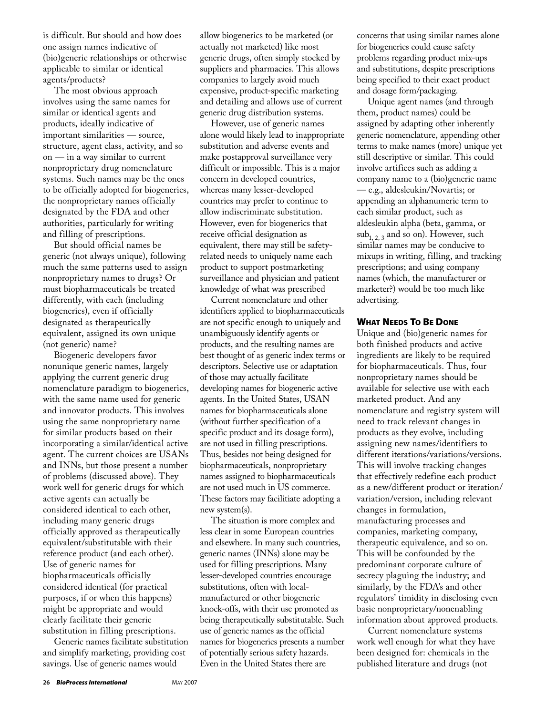is difficult. But should and how does one assign names indicative of (bio)generic relationships or otherwise applicable to similar or identical agents/products?

The most obvious approach involves using the same names for similar or identical agents and products, ideally indicative of important similarities — source, structure, agent class, activity, and so on — in a way similar to current nonproprietary drug nomenclature systems. Such names may be the ones to be officially adopted for biogenerics, the nonproprietary names officially designated by the FDA and other authorities, particularly for writing and filling of prescriptions.

But should official names be generic (not always unique), following much the same patterns used to assign nonproprietary names to drugs? Or must biopharmaceuticals be treated differently, with each (including biogenerics), even if officially designated as therapeutically equivalent, assigned its own unique (not generic) name?

Biogeneric developers favor nonunique generic names, largely applying the current generic drug nomenclature paradigm to biogenerics, with the same name used for generic and innovator products. This involves using the same nonproprietary name for similar products based on their incorporating a similar/identical active agent. The current choices are USANs and INNs, but those present a number of problems (discussed above). They work well for generic drugs for which active agents can actually be considered identical to each other, including many generic drugs officially approved as therapeutically equivalent/substitutable with their reference product (and each other). Use of generic names for biopharmaceuticals officially considered identical (for practical purposes, if or when this happens) might be appropriate and would clearly facilitate their generic substitution in filling prescriptions.

Generic names facilitate substitution and simplify marketing, providing cost savings. Use of generic names would

allow biogenerics to be marketed (or actually not marketed) like most generic drugs, often simply stocked by suppliers and pharmacies. This allows companies to largely avoid much expensive, product-specific marketing and detailing and allows use of current generic drug distribution systems.

However, use of generic names alone would likely lead to inappropriate substitution and adverse events and make postapproval surveillance very difficult or impossible. This is a major concern in developed countries, whereas many lesser-developed countries may prefer to continue to allow indiscriminate substitution. However, even for biogenerics that receive official designation as equivalent, there may still be safetyrelated needs to uniquely name each product to support postmarketing surveillance and physician and patient knowledge of what was prescribed

Current nomenclature and other identifiers applied to biopharmaceuticals are not specific enough to uniquely and unambiguously identify agents or products, and the resulting names are best thought of as generic index terms or descriptors. Selective use or adaptation of those may actually facilitate developing names for biogeneric active agents. In the United States, USAN names for biopharmaceuticals alone (without further specification of a specific product and its dosage form), are not used in filling prescriptions. Thus, besides not being designed for biopharmaceuticals, nonproprietary names assigned to biopharmaceuticals are not used much in US commerce. These factors may facilitiate adopting a new system(s).

The situation is more complex and less clear in some European countries and elsewhere. In many such countries, generic names (INNs) alone may be used for filling prescriptions. Many lesser-developed countries encourage substitutions, often with localmanufactured or other biogeneric knock-offs, with their use promoted as being therapeutically substitutable. Such use of generic names as the official names for biogenerics presents a number of potentially serious safety hazards. Even in the United States there are

concerns that using similar names alone for biogenerics could cause safety problems regarding product mix-ups and substitutions, despite prescriptions being specified to their exact product and dosage form/packaging.

Unique agent names (and through them, product names) could be assigned by adapting other inherently generic nomenclature, appending other terms to make names (more) unique yet still descriptive or similar. This could involve artifices such as adding a company name to a (bio)generic name — e.g., aldesleukin/Novartis; or appending an alphanumeric term to each similar product, such as aldesleukin alpha (beta, gamma, or  $sub<sub>1, 2</sub>$  and so on). However, such similar names may be conducive to mixups in writing, filling, and tracking prescriptions; and using company names (which, the manufacturer or marketer?) would be too much like advertising.

#### WHAT NEEDS TO BE DONE

Unique and (bio)generic names for both finished products and active ingredients are likely to be required for biopharmaceuticals. Thus, four nonproprietary names should be available for selective use with each marketed product. And any nomenclature and registry system will need to track relevant changes in products as they evolve, including assigning new names/identifiers to different iterations/variations/versions. This will involve tracking changes that effectively redefine each product as a new/different product or iteration/ variation/version, including relevant changes in formulation, manufacturing processes and companies, marketing company, therapeutic equivalence, and so on. This will be confounded by the predominant corporate culture of secrecy plaguing the industry; and similarly, by the FDA's and other regulators' timidity in disclosing even basic nonproprietary/nonenabling information about approved products.

Current nomenclature systems work well enough for what they have been designed for: chemicals in the published literature and drugs (not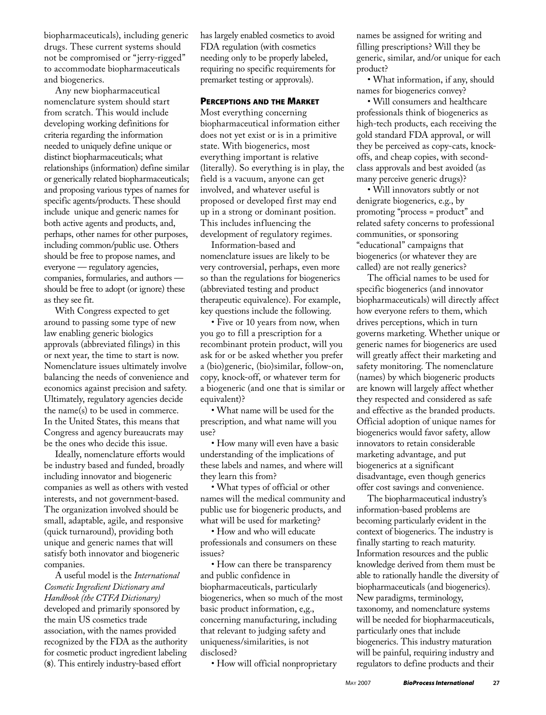biopharmaceuticals), including generic drugs. These current systems should not be compromised or "jerry-rigged" to accommodate biopharmaceuticals and biogenerics.

Any new biopharmaceutical nomenclature system should start from scratch. This would include developing working definitions for criteria regarding the information needed to uniquely define unique or distinct biopharmaceuticals; what relationships (information) define similar or generically related biopharmaceuticals; and proposing various types of names for specific agents/products. These should include unique and generic names for both active agents and products, and, perhaps, other names for other purposes, including common/public use. Others should be free to propose names, and everyone — regulatory agencies, companies, formularies, and authors should be free to adopt (or ignore) these as they see fit.

With Congress expected to get around to passing some type of new law enabling generic biologics approvals (abbreviated filings) in this or next year, the time to start is now. Nomenclature issues ultimately involve balancing the needs of convenience and economics against precision and safety. Ultimately, regulatory agencies decide the name(s) to be used in commerce. In the United States, this means that Congress and agency bureaucrats may be the ones who decide this issue.

Ideally, nomenclature efforts would be industry based and funded, broadly including innovator and biogeneric companies as well as others with vested interests, and not government-based. The organization involved should be small, adaptable, agile, and responsive (quick turnaround), providing both unique and generic names that will satisfy both innovator and biogeneric companies.

A useful model is the *International Cosmetic Ingredient Dictionary and Handbook (the CTFA Dictionary)*  developed and primarily sponsored by the main US cosmetics trade association, with the names provided recognized by the FDA as the authority for cosmetic product ingredient labeling (**8**). This entirely industry-based effort

has largely enabled cosmetics to avoid FDA regulation (with cosmetics needing only to be properly labeled, requiring no specific requirements for premarket testing or approvals).

#### PERCEPTIONS AND THE MARKET

Most everything concerning biopharmaceutical information either does not yet exist or is in a primitive state. With biogenerics, most everything important is relative (literally). So everything is in play, the field is a vacuum, anyone can get involved, and whatever useful is proposed or developed first may end up in a strong or dominant position. This includes influencing the development of regulatory regimes.

Information-based and nomenclature issues are likely to be very controversial, perhaps, even more so than the regulations for biogenerics (abbreviated testing and product therapeutic equivalence). For example, key questions include the following.

• Five or 10 years from now, when you go to fill a prescription for a recombinant protein product, will you ask for or be asked whether you prefer a (bio)generic, (bio)similar, follow-on, copy, knock-off, or whatever term for a biogeneric (and one that is similar or equivalent)?

• What name will be used for the prescription, and what name will you use?

• How many will even have a basic understanding of the implications of these labels and names, and where will they learn this from?

• What types of official or other names will the medical community and public use for biogeneric products, and what will be used for marketing?

• How and who will educate professionals and consumers on these issues?

• How can there be transparency and public confidence in biopharmaceuticals, particularly biogenerics, when so much of the most basic product information, e,g., concerning manufacturing, including that relevant to judging safety and uniqueness/similarities, is not disclosed?

• How will official nonproprietary

names be assigned for writing and filling prescriptions? Will they be generic, similar, and/or unique for each product?

• What information, if any, should names for biogenerics convey?

• Will consumers and healthcare professionals think of biogenerics as high-tech products, each receiving the gold standard FDA approval, or will they be perceived as copy-cats, knockoffs, and cheap copies, with secondclass approvals and best avoided (as many perceive generic drugs)?

• Will innovators subtly or not denigrate biogenerics, e.g., by promoting "process = product" and related safety concerns to professional communities, or sponsoring "educational" campaigns that biogenerics (or whatever they are called) are not really generics?

The official names to be used for specific biogenerics (and innovator biopharmaceuticals) will directly affect how everyone refers to them, which drives perceptions, which in turn governs marketing. Whether unique or generic names for biogenerics are used will greatly affect their marketing and safety monitoring. The nomenclature (names) by which biogeneric products are known will largely affect whether they respected and considered as safe and effective as the branded products. Official adoption of unique names for biogenerics would favor safety, allow innovators to retain considerable marketing advantage, and put biogenerics at a significant disadvantage, even though generics offer cost savings and convenience.

The biopharmaceutical industry's information-based problems are becoming particularly evident in the context of biogenerics. The industry is finally starting to reach maturity. Information resources and the public knowledge derived from them must be able to rationally handle the diversity of biopharmaceuticals (and biogenerics). New paradigms, terminology, taxonomy, and nomenclature systems will be needed for biopharmaceuticals, particularly ones that include biogenerics. This industry maturation will be painful, requiring industry and regulators to define products and their